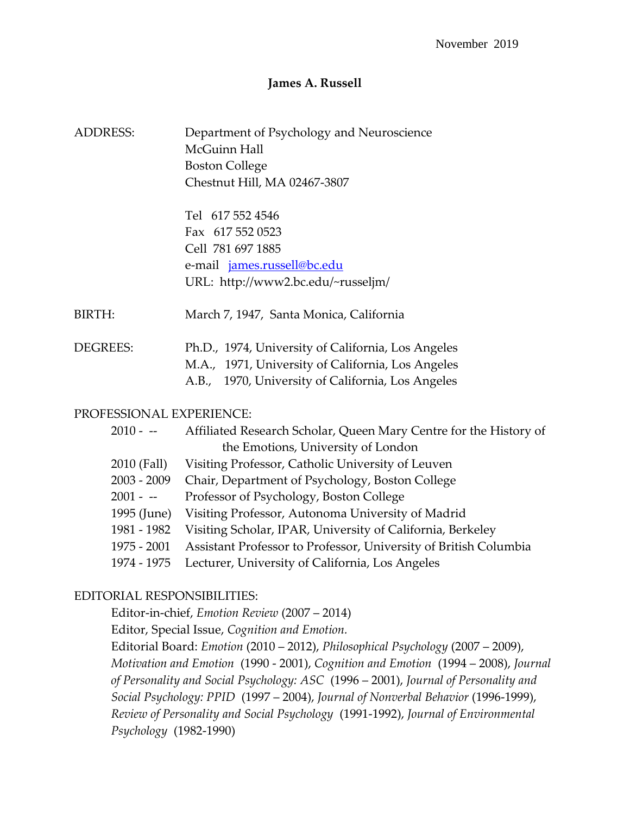### **James A. Russell**

| ADDRESS: | Department of Psychology and Neuroscience |
|----------|-------------------------------------------|
|          | McGuinn Hall                              |
|          | <b>Boston College</b>                     |
|          | Chestnut Hill, MA 02467-3807              |

Tel 617 552 4546 Fax 617 552 0523 Cell 781 697 1885 e-mail [james.russell@bc.edu](mailto:james.russell@bc.edu) URL: http://www2.bc.edu/~russeljm/

BIRTH: March 7, 1947, Santa Monica, California

| DEGREES: | Ph.D., 1974, University of California, Los Angeles |
|----------|----------------------------------------------------|
|          | M.A., 1971, University of California, Los Angeles  |
|          | A.B., 1970, University of California, Los Angeles  |

#### PROFESSIONAL EXPERIENCE:

| 2010 - --   | Affiliated Research Scholar, Queen Mary Centre for the History of |
|-------------|-------------------------------------------------------------------|
|             | the Emotions, University of London                                |
| 2010 (Fall) | Visiting Professor, Catholic University of Leuven                 |
| 2003 - 2009 | Chair, Department of Psychology, Boston College                   |
| $2001 - -$  | Professor of Psychology, Boston College                           |
| 1995 (June) | Visiting Professor, Autonoma University of Madrid                 |
| 1981 - 1982 | Visiting Scholar, IPAR, University of California, Berkeley        |
| 1975 - 2001 | Assistant Professor to Professor, University of British Columbia  |
| 1974 - 1975 | Lecturer, University of California, Los Angeles                   |
|             |                                                                   |

#### EDITORIAL RESPONSIBILITIES:

Editor-in-chief, *Emotion Review* (2007 – 2014)

Editor, Special Issue, *Cognition and Emotion.*

Editorial Board: *Emotion* (2010 – 2012), *Philosophical Psychology* (2007 – 2009), *Motivation and Emotion* (1990 - 2001), *Cognition and Emotion* (1994 – 2008), *Journal of Personality and Social Psychology: ASC* (1996 – 2001), *Journal of Personality and Social Psychology: PPID* (1997 – 2004), *Journal of Nonverbal Behavior* (1996-1999), *Review of Personality and Social Psychology* (1991-1992), *Journal of Environmental Psychology* (1982-1990)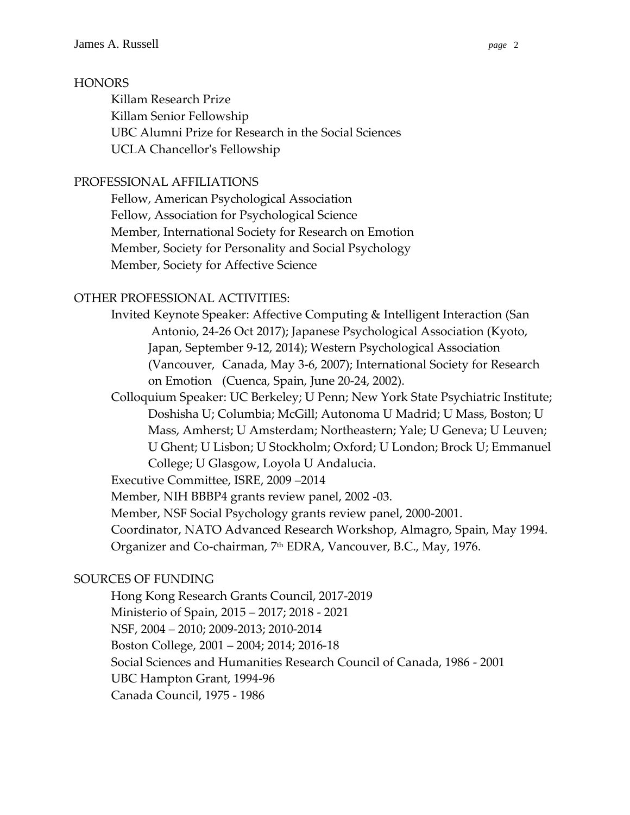## **HONORS**

Killam Research Prize Killam Senior Fellowship UBC Alumni Prize for Research in the Social Sciences UCLA Chancellor's Fellowship

## PROFESSIONAL AFFILIATIONS

Fellow, American Psychological Association Fellow, Association for Psychological Science Member, International Society for Research on Emotion Member, Society for Personality and Social Psychology Member, Society for Affective Science

## OTHER PROFESSIONAL ACTIVITIES:

Invited Keynote Speaker: Affective Computing & Intelligent Interaction (San Antonio, 24-26 Oct 2017); Japanese Psychological Association (Kyoto, Japan, September 9-12, 2014); Western Psychological Association (Vancouver, Canada, May 3-6, 2007); International Society for Research on Emotion (Cuenca, Spain, June 20-24, 2002).

Colloquium Speaker: UC Berkeley; U Penn; New York State Psychiatric Institute; Doshisha U; Columbia; McGill; Autonoma U Madrid; U Mass, Boston; U Mass, Amherst; U Amsterdam; Northeastern; Yale; U Geneva; U Leuven; U Ghent; U Lisbon; U Stockholm; Oxford; U London; Brock U; Emmanuel College; U Glasgow, Loyola U Andalucia.

Executive Committee, ISRE, 2009 –2014

Member, NIH BBBP4 grants review panel, 2002 -03.

Member, NSF Social Psychology grants review panel, 2000-2001.

Coordinator, NATO Advanced Research Workshop, Almagro, Spain, May 1994. Organizer and Co-chairman, 7th EDRA, Vancouver, B.C., May, 1976.

# SOURCES OF FUNDING

Hong Kong Research Grants Council, 2017-2019 Ministerio of Spain, 2015 – 2017; 2018 - 2021 NSF, 2004 – 2010; 2009-2013; 2010-2014 Boston College, 2001 – 2004; 2014; 2016-18 Social Sciences and Humanities Research Council of Canada, 1986 - 2001 UBC Hampton Grant, 1994-96 Canada Council, 1975 - 1986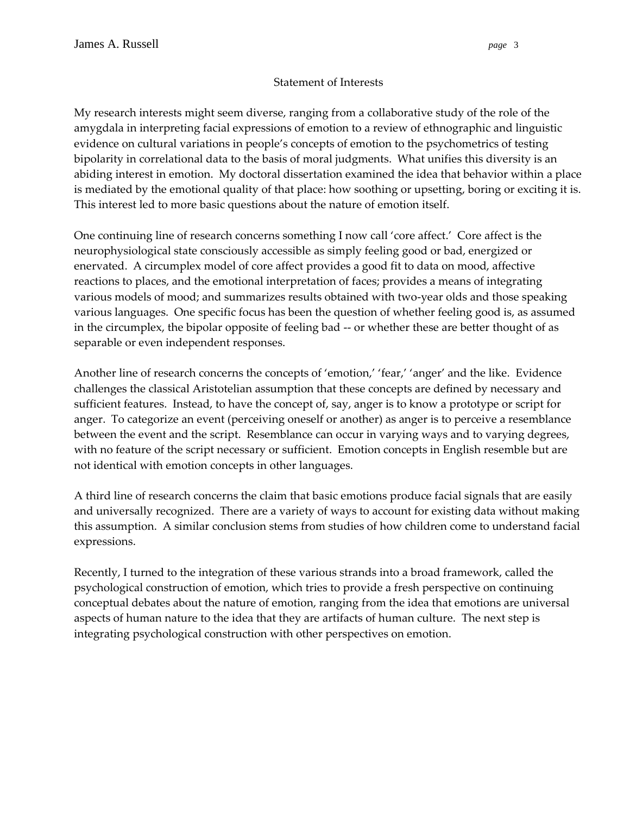#### Statement of Interests

My research interests might seem diverse, ranging from a collaborative study of the role of the amygdala in interpreting facial expressions of emotion to a review of ethnographic and linguistic evidence on cultural variations in people's concepts of emotion to the psychometrics of testing bipolarity in correlational data to the basis of moral judgments. What unifies this diversity is an abiding interest in emotion. My doctoral dissertation examined the idea that behavior within a place is mediated by the emotional quality of that place: how soothing or upsetting, boring or exciting it is. This interest led to more basic questions about the nature of emotion itself.

One continuing line of research concerns something I now call 'core affect.' Core affect is the neurophysiological state consciously accessible as simply feeling good or bad, energized or enervated. A circumplex model of core affect provides a good fit to data on mood, affective reactions to places, and the emotional interpretation of faces; provides a means of integrating various models of mood; and summarizes results obtained with two-year olds and those speaking various languages. One specific focus has been the question of whether feeling good is, as assumed in the circumplex, the bipolar opposite of feeling bad -- or whether these are better thought of as separable or even independent responses.

Another line of research concerns the concepts of 'emotion,' 'fear,' 'anger' and the like. Evidence challenges the classical Aristotelian assumption that these concepts are defined by necessary and sufficient features. Instead, to have the concept of, say, anger is to know a prototype or script for anger. To categorize an event (perceiving oneself or another) as anger is to perceive a resemblance between the event and the script. Resemblance can occur in varying ways and to varying degrees, with no feature of the script necessary or sufficient. Emotion concepts in English resemble but are not identical with emotion concepts in other languages.

A third line of research concerns the claim that basic emotions produce facial signals that are easily and universally recognized. There are a variety of ways to account for existing data without making this assumption. A similar conclusion stems from studies of how children come to understand facial expressions.

Recently, I turned to the integration of these various strands into a broad framework, called the psychological construction of emotion, which tries to provide a fresh perspective on continuing conceptual debates about the nature of emotion, ranging from the idea that emotions are universal aspects of human nature to the idea that they are artifacts of human culture. The next step is integrating psychological construction with other perspectives on emotion.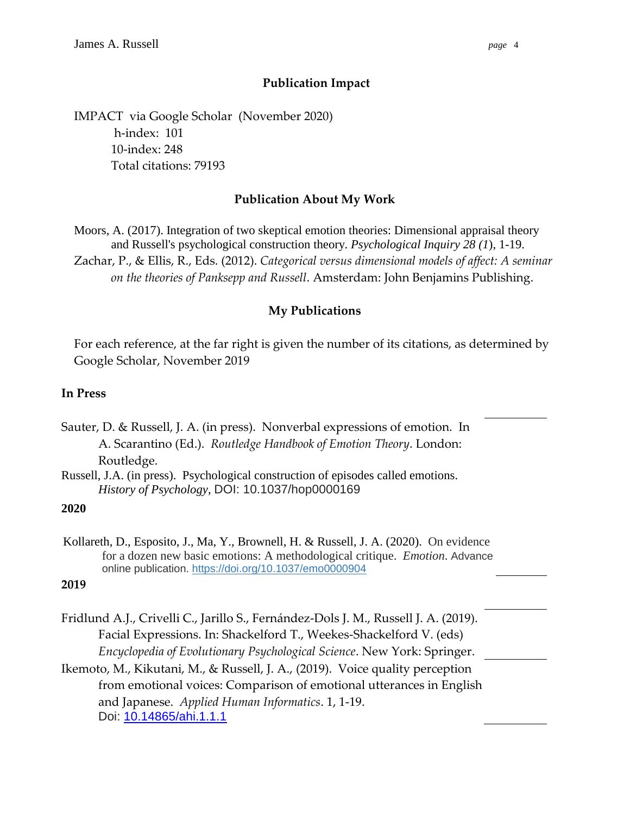# **Publication Impact**

IMPACT via Google Scholar (November 2020) h-index: 101 10-index: 248 Total citations: 79193

# **Publication About My Work**

Moors, A. (2017). Integration of two skeptical emotion theories: Dimensional appraisal theory and Russell's psychological construction theory. *Psychological Inquiry 28 (1*), 1-19.

Zachar, P., & Ellis, R., Eds. (2012). *Categorical versus dimensional models of affect: A seminar on the theories of Panksepp and Russell*. Amsterdam: John Benjamins Publishing.

# **My Publications**

For each reference, at the far right is given the number of its citations, as determined by Google Scholar, November 2019

## **In Press**

Sauter, D. & Russell, J. A. (in press). Nonverbal expressions of emotion. In A. Scarantino (Ed.). *Routledge Handbook of Emotion Theory*. London: Routledge.

Russell, J.A. (in press). Psychological construction of episodes called emotions. *History of Psychology*, DOI: 10.1037/hop0000169

### **2020**

Kollareth, D., Esposito, J., Ma, Y., Brownell, H. & Russell, J. A. (2020). On evidence for a dozen new basic emotions: A methodological critique. *Emotion*. Advance online publication. [https://doi.org/10.1037/emo0000904](https://psycnet.apa.org/doi/10.1037/emo0000904)

#### **2019**

Fridlund A.J., Crivelli C., Jarillo S., Fernández-Dols J. M., Russell J. A. (2019). Facial Expressions. In: Shackelford T., Weekes-Shackelford V. (eds) *Encyclopedia of Evolutionary Psychological Science*. New York: Springer.

Ikemoto, M., Kikutani, M., & Russell, J. A., (2019). Voice quality perception from emotional voices: Comparison of emotional utterances in English and Japanese. *Applied Human Informatics*. 1, 1-19. Doi: [10.14865/ahi.1.1.1](http://doi.org/10.14865/ahi.1.1.1)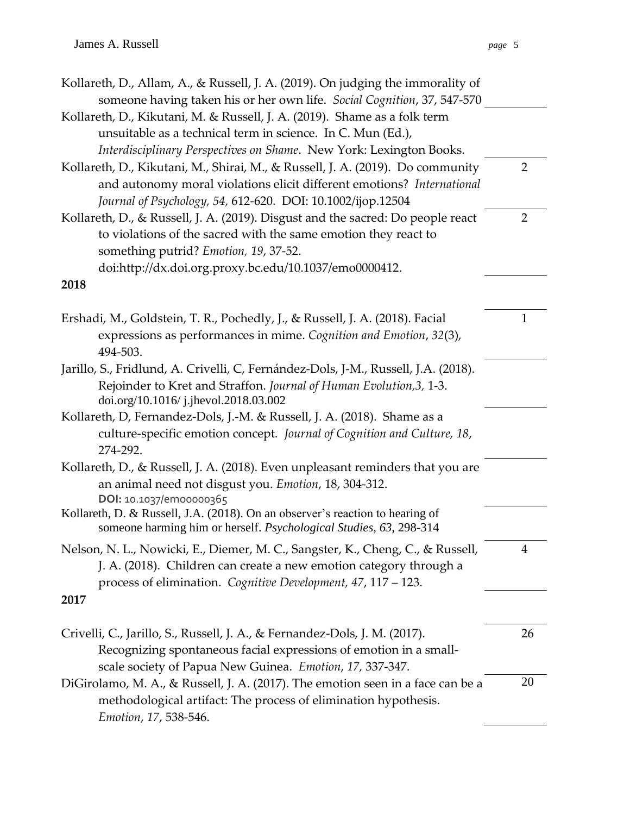| Kollareth, D., Allam, A., & Russell, J. A. (2019). On judging the immorality of<br>someone having taken his or her own life. Social Cognition, 37, 547-570                                                            |                |
|-----------------------------------------------------------------------------------------------------------------------------------------------------------------------------------------------------------------------|----------------|
| Kollareth, D., Kikutani, M. & Russell, J. A. (2019). Shame as a folk term                                                                                                                                             |                |
| unsuitable as a technical term in science. In C. Mun (Ed.),                                                                                                                                                           |                |
| Interdisciplinary Perspectives on Shame. New York: Lexington Books.                                                                                                                                                   |                |
| Kollareth, D., Kikutani, M., Shirai, M., & Russell, J. A. (2019). Do community                                                                                                                                        | $\overline{2}$ |
| and autonomy moral violations elicit different emotions? International                                                                                                                                                |                |
| Journal of Psychology, 54, 612-620. DOI: 10.1002/ijop.12504                                                                                                                                                           |                |
| Kollareth, D., & Russell, J. A. (2019). Disgust and the sacred: Do people react                                                                                                                                       | $\overline{2}$ |
| to violations of the sacred with the same emotion they react to                                                                                                                                                       |                |
| something putrid? Emotion, 19, 37-52.                                                                                                                                                                                 |                |
| doi:http://dx.doi.org.proxy.bc.edu/10.1037/emo0000412.                                                                                                                                                                |                |
| 2018                                                                                                                                                                                                                  |                |
| Ershadi, M., Goldstein, T. R., Pochedly, J., & Russell, J. A. (2018). Facial                                                                                                                                          | $\mathbf{1}$   |
| expressions as performances in mime. Cognition and Emotion, 32(3),<br>494-503.                                                                                                                                        |                |
| Jarillo, S., Fridlund, A. Crivelli, C, Fernández-Dols, J-M., Russell, J.A. (2018).                                                                                                                                    |                |
| Rejoinder to Kret and Straffon. Journal of Human Evolution, 3, 1-3.<br>doi.org/10.1016/j.jhevol.2018.03.002                                                                                                           |                |
| Kollareth, D, Fernandez-Dols, J.-M. & Russell, J. A. (2018). Shame as a                                                                                                                                               |                |
| culture-specific emotion concept. Journal of Cognition and Culture, 18,<br>274-292.                                                                                                                                   |                |
| Kollareth, D., & Russell, J. A. (2018). Even unpleasant reminders that you are                                                                                                                                        |                |
| an animal need not disgust you. Emotion, 18, 304-312.<br>DOI: 10.1037/em00000365                                                                                                                                      |                |
| Kollareth, D. & Russell, J.A. (2018). On an observer's reaction to hearing of<br>someone harming him or herself. Psychological Studies, 63, 298-314                                                                   |                |
| Nelson, N. L., Nowicki, E., Diemer, M. C., Sangster, K., Cheng, C., & Russell,<br>J. A. (2018). Children can create a new emotion category through a<br>process of elimination. Cognitive Development, 47, 117 - 123. | 4              |
| 2017                                                                                                                                                                                                                  |                |
| Crivelli, C., Jarillo, S., Russell, J. A., & Fernandez-Dols, J. M. (2017).                                                                                                                                            | 26             |
| Recognizing spontaneous facial expressions of emotion in a small-<br>scale society of Papua New Guinea. Emotion, 17, 337-347.                                                                                         |                |
| DiGirolamo, M. A., & Russell, J. A. (2017). The emotion seen in a face can be a                                                                                                                                       | 20             |
| methodological artifact: The process of elimination hypothesis.<br>Emotion, 17, 538-546.                                                                                                                              |                |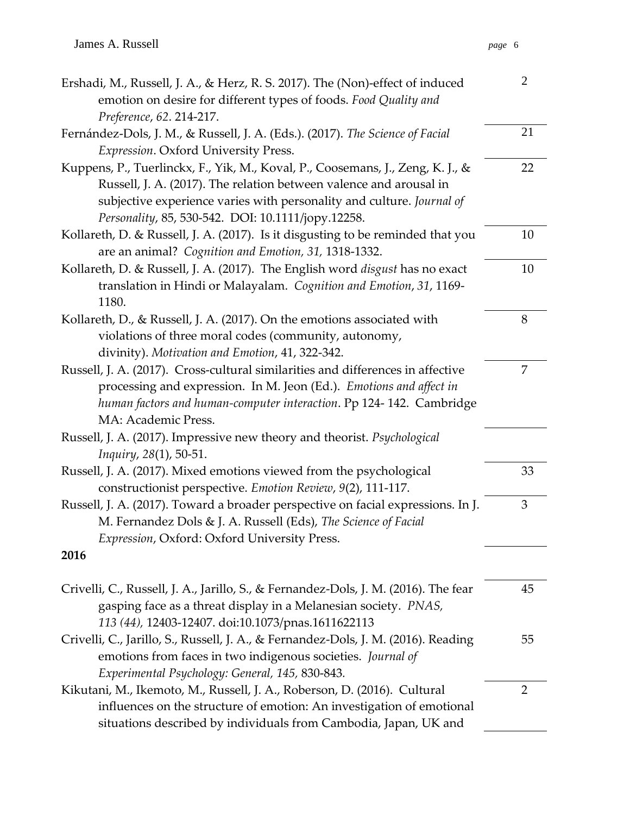| Ershadi, M., Russell, J. A., & Herz, R. S. 2017). The (Non)-effect of induced<br>emotion on desire for different types of foods. Food Quality and | $\overline{2}$ |
|---------------------------------------------------------------------------------------------------------------------------------------------------|----------------|
| Preference, 62. 214-217.                                                                                                                          |                |
| Fernández-Dols, J. M., & Russell, J. A. (Eds.). (2017). The Science of Facial                                                                     | 21             |
| Expression. Oxford University Press.                                                                                                              |                |
| Kuppens, P., Tuerlinckx, F., Yik, M., Koval, P., Coosemans, J., Zeng, K. J., &                                                                    | 22             |
| Russell, J. A. (2017). The relation between valence and arousal in                                                                                |                |
| subjective experience varies with personality and culture. Journal of                                                                             |                |
| Personality, 85, 530-542. DOI: 10.1111/jopy.12258.                                                                                                |                |
| Kollareth, D. & Russell, J. A. (2017). Is it disgusting to be reminded that you                                                                   | 10             |
| are an animal? Cognition and Emotion, 31, 1318-1332.                                                                                              |                |
| Kollareth, D. & Russell, J. A. (2017). The English word <i>disgust</i> has no exact                                                               | 10             |
| translation in Hindi or Malayalam. Cognition and Emotion, 31, 1169-                                                                               |                |
| 1180.                                                                                                                                             |                |
| Kollareth, D., & Russell, J. A. (2017). On the emotions associated with                                                                           | 8              |
| violations of three moral codes (community, autonomy,                                                                                             |                |
| divinity). Motivation and Emotion, 41, 322-342.                                                                                                   |                |
| Russell, J. A. (2017). Cross-cultural similarities and differences in affective                                                                   | 7              |
| processing and expression. In M. Jeon (Ed.). Emotions and affect in                                                                               |                |
| human factors and human-computer interaction. Pp 124-142. Cambridge                                                                               |                |
| MA: Academic Press.                                                                                                                               |                |
| Russell, J. A. (2017). Impressive new theory and theorist. Psychological                                                                          |                |
| Inquiry, 28(1), 50-51.                                                                                                                            |                |
| Russell, J. A. (2017). Mixed emotions viewed from the psychological                                                                               | 33             |
| constructionist perspective. Emotion Review, 9(2), 111-117.                                                                                       |                |
| Russell, J. A. (2017). Toward a broader perspective on facial expressions. In J.                                                                  | 3              |
| M. Fernandez Dols & J. A. Russell (Eds), The Science of Facial                                                                                    |                |
| Expression, Oxford: Oxford University Press.                                                                                                      |                |
| 2016                                                                                                                                              |                |
| Crivelli, C., Russell, J. A., Jarillo, S., & Fernandez-Dols, J. M. (2016). The fear                                                               | 45             |
| gasping face as a threat display in a Melanesian society. PNAS,                                                                                   |                |
| 113 (44), 12403-12407. doi:10.1073/pnas.1611622113                                                                                                |                |
| Crivelli, C., Jarillo, S., Russell, J. A., & Fernandez-Dols, J. M. (2016). Reading                                                                | 55             |
| emotions from faces in two indigenous societies. Journal of                                                                                       |                |
| Experimental Psychology: General, 145, 830-843.                                                                                                   |                |
| Kikutani, M., Ikemoto, M., Russell, J. A., Roberson, D. (2016). Cultural                                                                          | $\overline{2}$ |
| influences on the structure of emotion: An investigation of emotional                                                                             |                |
| situations described by individuals from Cambodia, Japan, UK and                                                                                  |                |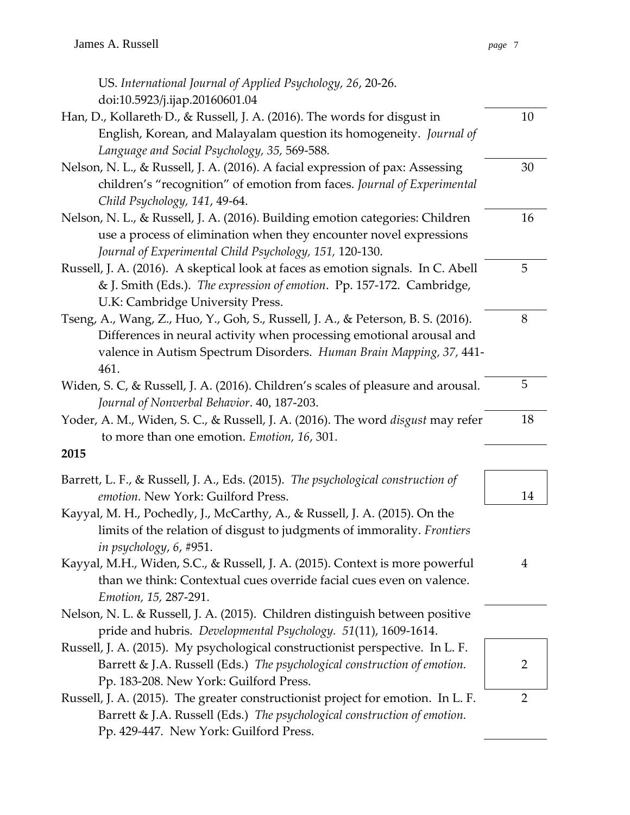| US. International Journal of Applied Psychology, 26, 20-26.                            |                |
|----------------------------------------------------------------------------------------|----------------|
| doi:10.5923/j.ijap.20160601.04                                                         |                |
| Han, D., Kollareth D., & Russell, J. A. (2016). The words for disgust in               | 10             |
| English, Korean, and Malayalam question its homogeneity. Journal of                    |                |
| Language and Social Psychology, 35, 569-588.                                           |                |
| Nelson, N. L., & Russell, J. A. (2016). A facial expression of pax: Assessing          | 30             |
| children's "recognition" of emotion from faces. Journal of Experimental                |                |
| Child Psychology, 141, 49-64.                                                          |                |
| Nelson, N. L., & Russell, J. A. (2016). Building emotion categories: Children          | 16             |
| use a process of elimination when they encounter novel expressions                     |                |
| Journal of Experimental Child Psychology, 151, 120-130.                                |                |
| Russell, J. A. (2016). A skeptical look at faces as emotion signals. In C. Abell       | 5              |
| & J. Smith (Eds.). The expression of emotion. Pp. 157-172. Cambridge,                  |                |
| U.K: Cambridge University Press.                                                       |                |
| Tseng, A., Wang, Z., Huo, Y., Goh, S., Russell, J. A., & Peterson, B. S. (2016).       | 8              |
| Differences in neural activity when processing emotional arousal and                   |                |
| valence in Autism Spectrum Disorders. Human Brain Mapping, 37, 441-<br>461.            |                |
| Widen, S. C, & Russell, J. A. (2016). Children's scales of pleasure and arousal.       | 5              |
| Journal of Nonverbal Behavior. 40, 187-203.                                            |                |
| Yoder, A. M., Widen, S. C., & Russell, J. A. (2016). The word <i>disgust</i> may refer | 18             |
| to more than one emotion. Emotion, 16, 301.                                            |                |
| 2015                                                                                   |                |
| Barrett, L. F., & Russell, J. A., Eds. (2015). The psychological construction of       |                |
| emotion. New York: Guilford Press.                                                     | 14             |
| Kayyal, M. H., Pochedly, J., McCarthy, A., & Russell, J. A. (2015). On the             |                |
| limits of the relation of disgust to judgments of immorality. Frontiers                |                |
| in psychology, 6, #951.                                                                |                |
| Kayyal, M.H., Widen, S.C., & Russell, J. A. (2015). Context is more powerful           | 4              |
| than we think: Contextual cues override facial cues even on valence.                   |                |
| Emotion, 15, 287-291.                                                                  |                |
| Nelson, N. L. & Russell, J. A. (2015). Children distinguish between positive           |                |
| pride and hubris. Developmental Psychology. 51(11), 1609-1614.                         |                |
| Russell, J. A. (2015). My psychological constructionist perspective. In L. F.          |                |
| Barrett & J.A. Russell (Eds.) The psychological construction of emotion.               | 2              |
| Pp. 183-208. New York: Guilford Press.                                                 |                |
| Russell, J. A. (2015). The greater constructionist project for emotion. In L. F.       | $\overline{2}$ |
| Barrett & J.A. Russell (Eds.) The psychological construction of emotion.               |                |

Pp. 429-447. New York: Guilford Press.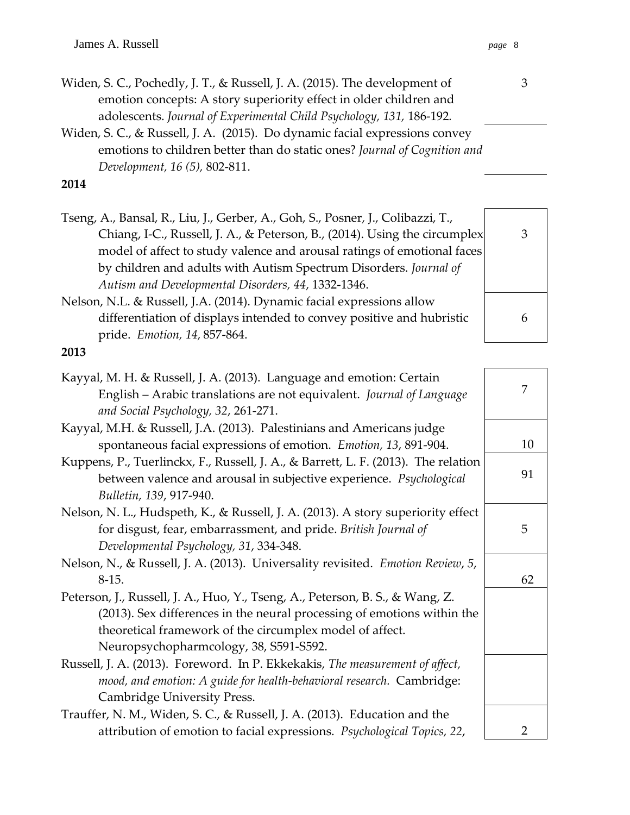| Widen, S. C., Pochedly, J. T., & Russell, J. A. (2015). The development of |
|----------------------------------------------------------------------------|
| emotion concepts: A story superiority effect in older children and         |
| adolescents. Journal of Experimental Child Psychology, 131, 186-192.       |

### **2014**

Tseng, A., Bansal, R., Liu, J., Gerber, A., Goh, S., Posner, J., Colibazzi, T., Chiang, I-C., Russell, J. A., & Peterson, B., (2014). Using the circumplex model of affect to study valence and arousal ratings of emotional faces by children and adults with Autism Spectrum Disorders. *Journal of Autism and Developmental Disorders, 44*, 1332-1346.

Nelson, N.L. & Russell, J.A. (2014). Dynamic facial expressions allow differentiation of displays intended to convey positive and hubristic pride. *Emotion, 14,* 857-864.

**2013**

| Kayyal, M. H. & Russell, J. A. (2013). Language and emotion: Certain               |    |
|------------------------------------------------------------------------------------|----|
| English - Arabic translations are not equivalent. Journal of Language              |    |
| and Social Psychology, 32, 261-271.                                                |    |
| Kayyal, M.H. & Russell, J.A. (2013). Palestinians and Americans judge              |    |
| spontaneous facial expressions of emotion. Emotion, 13, 891-904.                   | 10 |
| Kuppens, P., Tuerlinckx, F., Russell, J. A., & Barrett, L. F. (2013). The relation |    |
| between valence and arousal in subjective experience. Psychological                | 91 |
| Bulletin, 139, 917-940.                                                            |    |
| Nelson, N. L., Hudspeth, K., & Russell, J. A. (2013). A story superiority effect   |    |
| for disgust, fear, embarrassment, and pride. British Journal of                    | 5  |
| Developmental Psychology, 31, 334-348.                                             |    |
| Nelson, N., & Russell, J. A. (2013). Universality revisited. Emotion Review, 5,    |    |
| $8-15.$                                                                            | 62 |
| Peterson, J., Russell, J. A., Huo, Y., Tseng, A., Peterson, B. S., & Wang, Z.      |    |
| (2013). Sex differences in the neural processing of emotions within the            |    |
| theoretical framework of the circumplex model of affect.                           |    |
| Neuropsychopharmcology, 38, S591-S592.                                             |    |
| Russell, J. A. (2013). Foreword. In P. Ekkekakis, The measurement of affect,       |    |
| mood, and emotion: A guide for health-behavioral research. Cambridge:              |    |
| Cambridge University Press.                                                        |    |
| Trauffer, N. M., Widen, S. C., & Russell, J. A. (2013). Education and the          |    |
| attribution of emotion to facial expressions. Psychological Topics, 22,            | 2  |

3 6



Widen, S. C., & Russell, J. A. (2015). Do dynamic facial expressions convey emotions to children better than do static ones? *Journal of Cognition and Development, 16 (5),* 802-811.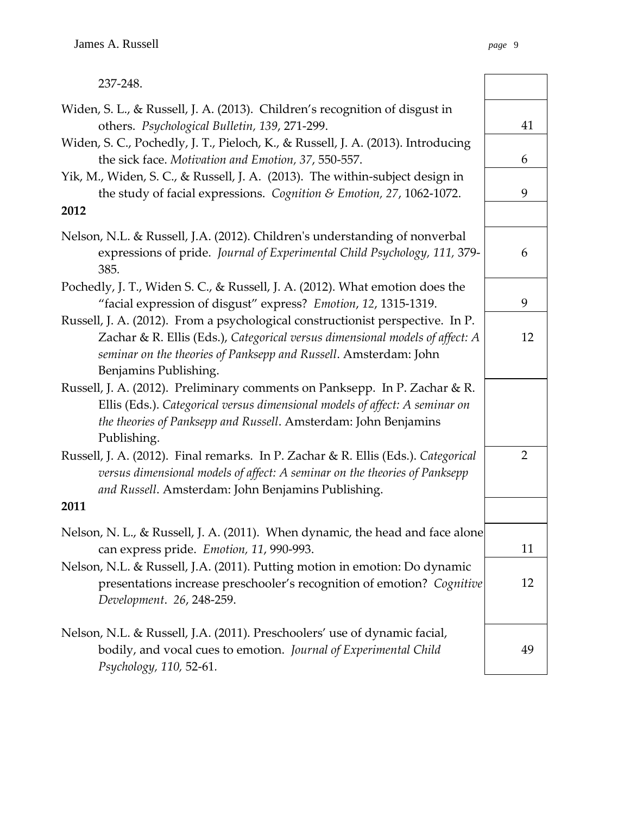| 237-248.                                                                                                                                                                                                                                                    |                |
|-------------------------------------------------------------------------------------------------------------------------------------------------------------------------------------------------------------------------------------------------------------|----------------|
| Widen, S. L., & Russell, J. A. (2013). Children's recognition of disgust in<br>others. Psychological Bulletin, 139, 271-299.                                                                                                                                | 41             |
| Widen, S. C., Pochedly, J. T., Pieloch, K., & Russell, J. A. (2013). Introducing<br>the sick face. Motivation and Emotion, 37, 550-557.                                                                                                                     | 6              |
| Yik, M., Widen, S. C., & Russell, J. A. (2013). The within-subject design in<br>the study of facial expressions. Cognition & Emotion, 27, 1062-1072.                                                                                                        | 9              |
| 2012                                                                                                                                                                                                                                                        |                |
| Nelson, N.L. & Russell, J.A. (2012). Children's understanding of nonverbal<br>expressions of pride. Journal of Experimental Child Psychology, 111, 379-<br>385.                                                                                             | 6              |
| Pochedly, J. T., Widen S. C., & Russell, J. A. (2012). What emotion does the<br>"facial expression of disgust" express? Emotion, 12, 1315-1319.                                                                                                             | 9              |
| Russell, J. A. (2012). From a psychological constructionist perspective. In P.<br>Zachar & R. Ellis (Eds.), Categorical versus dimensional models of affect: A<br>seminar on the theories of Panksepp and Russell. Amsterdam: John<br>Benjamins Publishing. | 12             |
| Russell, J. A. (2012). Preliminary comments on Panksepp. In P. Zachar & R.<br>Ellis (Eds.). Categorical versus dimensional models of affect: A seminar on<br>the theories of Panksepp and Russell. Amsterdam: John Benjamins<br>Publishing.                 |                |
| Russell, J. A. (2012). Final remarks. In P. Zachar & R. Ellis (Eds.). Categorical<br>versus dimensional models of affect: A seminar on the theories of Panksepp<br>and Russell. Amsterdam: John Benjamins Publishing.                                       | $\overline{2}$ |
| 2011                                                                                                                                                                                                                                                        |                |
| Nelson, N. L., & Russell, J. A. (2011). When dynamic, the head and face alone<br>can express pride. Emotion, 11, 990-993.                                                                                                                                   | 11             |
| Nelson, N.L. & Russell, J.A. (2011). Putting motion in emotion: Do dynamic<br>presentations increase preschooler's recognition of emotion? Cognitive<br>Development. 26, 248-259.                                                                           | 12             |
| Nelson, N.L. & Russell, J.A. (2011). Preschoolers' use of dynamic facial,<br>bodily, and vocal cues to emotion. Journal of Experimental Child<br>Psychology, 110, 52-61.                                                                                    | 49             |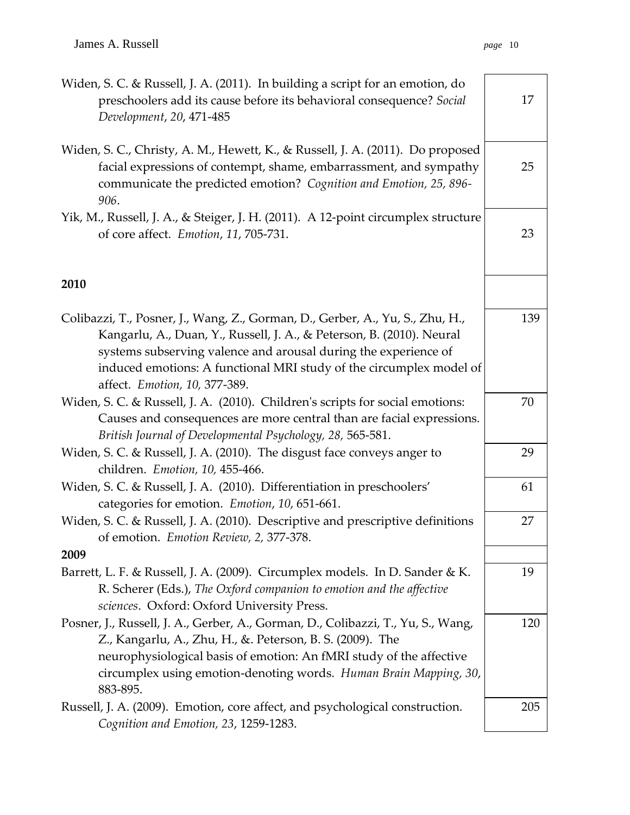| Widen, S. C. & Russell, J. A. (2011). In building a script for an emotion, do<br>preschoolers add its cause before its behavioral consequence? Social<br>Development, 20, 471-485                                                                                                                                                 | 17  |
|-----------------------------------------------------------------------------------------------------------------------------------------------------------------------------------------------------------------------------------------------------------------------------------------------------------------------------------|-----|
| Widen, S. C., Christy, A. M., Hewett, K., & Russell, J. A. (2011). Do proposed<br>facial expressions of contempt, shame, embarrassment, and sympathy<br>communicate the predicted emotion? Cognition and Emotion, 25, 896-<br>906.                                                                                                | 25  |
| Yik, M., Russell, J. A., & Steiger, J. H. (2011). A 12-point circumplex structure<br>of core affect. Emotion, 11, 705-731.                                                                                                                                                                                                        | 23  |
| 2010                                                                                                                                                                                                                                                                                                                              |     |
| Colibazzi, T., Posner, J., Wang, Z., Gorman, D., Gerber, A., Yu, S., Zhu, H.,<br>Kangarlu, A., Duan, Y., Russell, J. A., & Peterson, B. (2010). Neural<br>systems subserving valence and arousal during the experience of<br>induced emotions: A functional MRI study of the circumplex model of<br>affect. Emotion, 10, 377-389. | 139 |
| Widen, S. C. & Russell, J. A. (2010). Children's scripts for social emotions:<br>Causes and consequences are more central than are facial expressions.<br>British Journal of Developmental Psychology, 28, 565-581.                                                                                                               | 70  |
| Widen, S. C. & Russell, J. A. (2010). The disgust face conveys anger to<br>children. Emotion, 10, 455-466.                                                                                                                                                                                                                        | 29  |
| Widen, S. C. & Russell, J. A. (2010). Differentiation in preschoolers'<br>categories for emotion. Emotion, 10, 651-661.                                                                                                                                                                                                           | 61  |
| Widen, S. C. & Russell, J. A. (2010). Descriptive and prescriptive definitions<br>of emotion. Emotion Review, 2, 377-378.                                                                                                                                                                                                         | 27  |
| 2009                                                                                                                                                                                                                                                                                                                              |     |
| Barrett, L. F. & Russell, J. A. (2009). Circumplex models. In D. Sander & K.<br>R. Scherer (Eds.), The Oxford companion to emotion and the affective<br>sciences. Oxford: Oxford University Press.                                                                                                                                | 19  |
| Posner, J., Russell, J. A., Gerber, A., Gorman, D., Colibazzi, T., Yu, S., Wang,<br>Z., Kangarlu, A., Zhu, H., &. Peterson, B. S. (2009). The<br>neurophysiological basis of emotion: An fMRI study of the affective<br>circumplex using emotion-denoting words. Human Brain Mapping, 30,<br>883-895.                             | 120 |
| Russell, J. A. (2009). Emotion, core affect, and psychological construction.<br>Cognition and Emotion, 23, 1259-1283.                                                                                                                                                                                                             | 205 |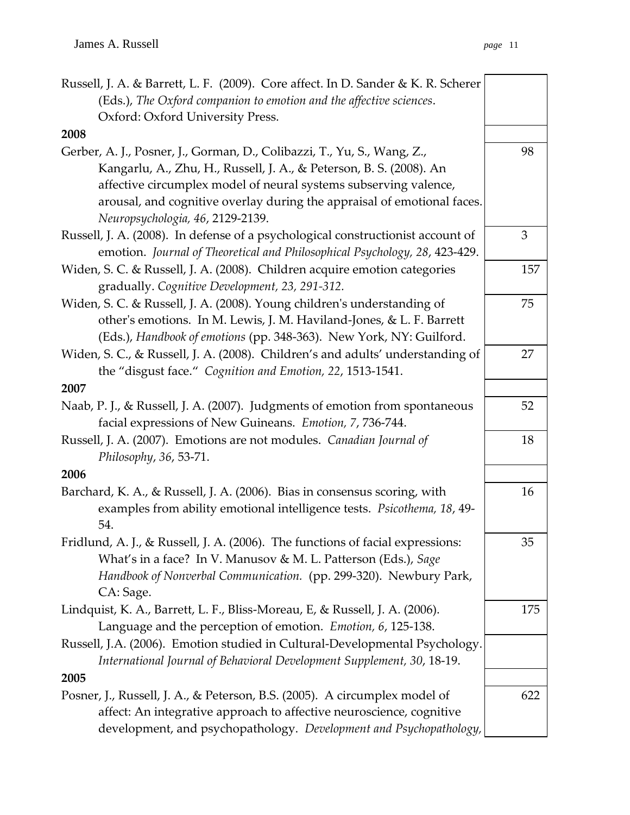| Russell, J. A. & Barrett, L. F. (2009). Core affect. In D. Sander & K. R. Scherer                                                                                                                                                  |     |
|------------------------------------------------------------------------------------------------------------------------------------------------------------------------------------------------------------------------------------|-----|
| (Eds.), The Oxford companion to emotion and the affective sciences.                                                                                                                                                                |     |
| Oxford: Oxford University Press.                                                                                                                                                                                                   |     |
| 2008                                                                                                                                                                                                                               |     |
| Gerber, A. J., Posner, J., Gorman, D., Colibazzi, T., Yu, S., Wang, Z.,<br>Kangarlu, A., Zhu, H., Russell, J. A., & Peterson, B. S. (2008). An                                                                                     | 98  |
| affective circumplex model of neural systems subserving valence,<br>arousal, and cognitive overlay during the appraisal of emotional faces.<br>Neuropsychologia, 46, 2129-2139.                                                    |     |
| Russell, J. A. (2008). In defense of a psychological constructionist account of<br>emotion. Journal of Theoretical and Philosophical Psychology, 28, 423-429.                                                                      | 3   |
| Widen, S. C. & Russell, J. A. (2008). Children acquire emotion categories<br>gradually. Cognitive Development, 23, 291-312.                                                                                                        | 157 |
| Widen, S. C. & Russell, J. A. (2008). Young children's understanding of<br>other's emotions. In M. Lewis, J. M. Haviland-Jones, & L. F. Barrett<br>(Eds.), Handbook of emotions (pp. 348-363). New York, NY: Guilford.             | 75  |
| Widen, S. C., & Russell, J. A. (2008). Children's and adults' understanding of<br>the "disgust face." Cognition and Emotion, 22, 1513-1541.                                                                                        | 27  |
| 2007                                                                                                                                                                                                                               |     |
| Naab, P. J., & Russell, J. A. (2007). Judgments of emotion from spontaneous<br>facial expressions of New Guineans. Emotion, 7, 736-744.                                                                                            | 52  |
| Russell, J. A. (2007). Emotions are not modules. Canadian Journal of<br>Philosophy, 36, 53-71.                                                                                                                                     | 18  |
| 2006                                                                                                                                                                                                                               |     |
| Barchard, K. A., & Russell, J. A. (2006). Bias in consensus scoring, with<br>examples from ability emotional intelligence tests. Psicothema, 18, 49-<br>54.                                                                        | 16  |
| Fridlund, A. J., & Russell, J. A. (2006). The functions of facial expressions:<br>What's in a face? In V. Manusov & M. L. Patterson (Eds.), Sage<br>Handbook of Nonverbal Communication. (pp. 299-320). Newbury Park,<br>CA: Sage. | 35  |
| Lindquist, K. A., Barrett, L. F., Bliss-Moreau, E, & Russell, J. A. (2006).<br>Language and the perception of emotion. Emotion, 6, 125-138.                                                                                        | 175 |
| Russell, J.A. (2006). Emotion studied in Cultural-Developmental Psychology.<br>International Journal of Behavioral Development Supplement, 30, 18-19.                                                                              |     |
| 2005                                                                                                                                                                                                                               |     |
| Posner, J., Russell, J. A., & Peterson, B.S. (2005). A circumplex model of<br>affect: An integrative approach to affective neuroscience, cognitive<br>development, and psychopathology. Development and Psychopathology,           | 622 |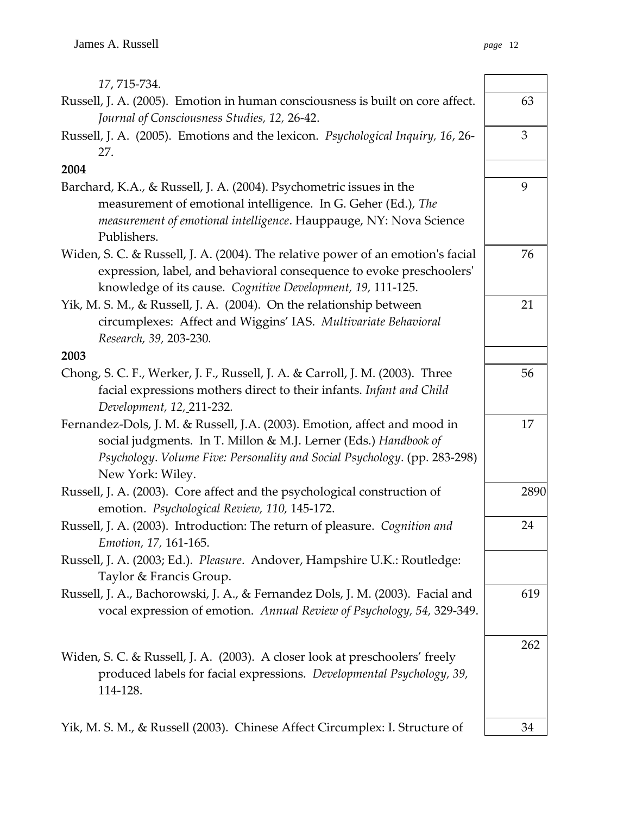| 17, 715-734.                                                                                                                                             |      |
|----------------------------------------------------------------------------------------------------------------------------------------------------------|------|
| Russell, J. A. (2005). Emotion in human consciousness is built on core affect.<br>Journal of Consciousness Studies, 12, 26-42.                           | 63   |
| Russell, J. A. (2005). Emotions and the lexicon. Psychological Inquiry, 16, 26-<br>27.                                                                   | 3    |
| 2004                                                                                                                                                     |      |
| Barchard, K.A., & Russell, J. A. (2004). Psychometric issues in the                                                                                      | 9    |
| measurement of emotional intelligence. In G. Geher (Ed.), The                                                                                            |      |
| measurement of emotional intelligence. Hauppauge, NY: Nova Science<br>Publishers.                                                                        |      |
| Widen, S. C. & Russell, J. A. (2004). The relative power of an emotion's facial<br>expression, label, and behavioral consequence to evoke preschoolers'  | 76   |
| knowledge of its cause. Cognitive Development, 19, 111-125.                                                                                              |      |
| Yik, M. S. M., & Russell, J. A. (2004). On the relationship between                                                                                      | 21   |
| circumplexes: Affect and Wiggins' IAS. Multivariate Behavioral                                                                                           |      |
| Research, 39, 203-230.                                                                                                                                   |      |
| 2003                                                                                                                                                     |      |
| Chong, S. C. F., Werker, J. F., Russell, J. A. & Carroll, J. M. (2003). Three                                                                            | 56   |
| facial expressions mothers direct to their infants. Infant and Child<br>Development, 12, 211-232.                                                        |      |
| Fernandez-Dols, J. M. & Russell, J.A. (2003). Emotion, affect and mood in                                                                                | 17   |
| social judgments. In T. Millon & M.J. Lerner (Eds.) Handbook of                                                                                          |      |
| Psychology. Volume Five: Personality and Social Psychology. (pp. 283-298)<br>New York: Wiley.                                                            |      |
| Russell, J. A. (2003). Core affect and the psychological construction of                                                                                 | 2890 |
| emotion. Psychological Review, 110, 145-172.                                                                                                             |      |
| Russell, J. A. (2003). Introduction: The return of pleasure. Cognition and<br>Emotion, 17, 161-165.                                                      | 24   |
| Russell, J. A. (2003; Ed.). Pleasure. Andover, Hampshire U.K.: Routledge:                                                                                |      |
| Taylor & Francis Group.                                                                                                                                  |      |
| Russell, J. A., Bachorowski, J. A., & Fernandez Dols, J. M. (2003). Facial and<br>vocal expression of emotion. Annual Review of Psychology, 54, 329-349. | 619  |
|                                                                                                                                                          | 262  |
| Widen, S. C. & Russell, J. A. (2003). A closer look at preschoolers' freely                                                                              |      |
| produced labels for facial expressions. Developmental Psychology, 39,<br>114-128.                                                                        |      |
| Yik, M. S. M., & Russell (2003). Chinese Affect Circumplex: I. Structure of                                                                              | 34   |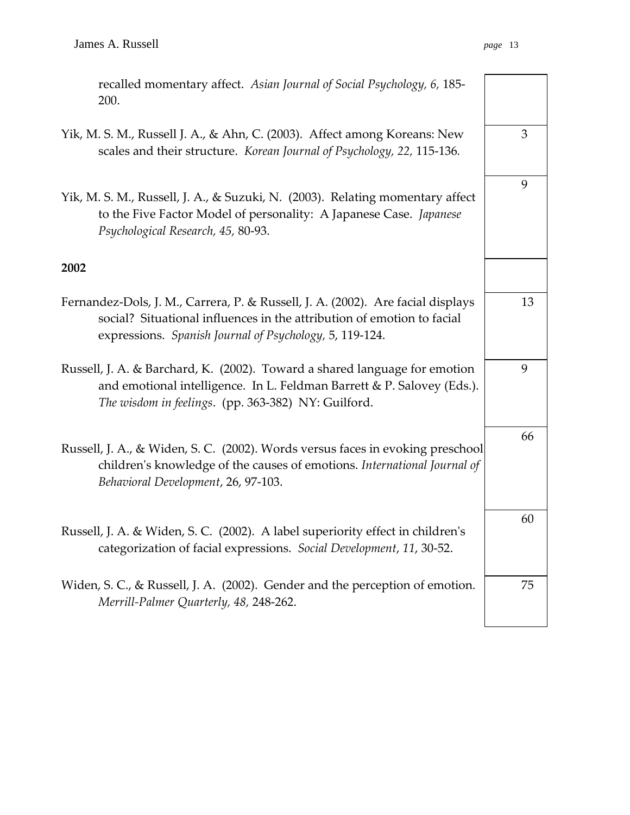recalled momentary affect. *Asian Journal of Social Psychology, 6,* 185- 200.

- Yik, M. S. M., Russell J. A., & Ahn, C. (2003). Affect among Koreans: New scales and their structure. *Korean Journal of Psychology, 22,* 115-136*.*
- Yik, M. S. M., Russell, J. A., & Suzuki, N. (2003). Relating momentary affect to the Five Factor Model of personality: A Japanese Case. *Japanese Psychological Research, 45,* 80-93.

## **2002**

- Fernandez-Dols, J. M., Carrera, P. & Russell, J. A. (2002). Are facial displays social? Situational influences in the attribution of emotion to facial expressions. *Spanish Journal of Psychology,* 5, 119-124.
- Russell, J. A. & Barchard, K. (2002). Toward a shared language for emotion and emotional intelligence. In L. Feldman Barrett & P. Salovey (Eds.). *The wisdom in feelings*. (pp. 363-382) NY: Guilford.
- Russell, J. A., & Widen, S. C. (2002). Words versus faces in evoking preschool children's knowledge of the causes of emotions. *International Journal of Behavioral Development*, 26, 97-103.
- Russell, J. A. & Widen, S. C. (2002). A label superiority effect in children's categorization of facial expressions. *Social Development*, *11*, 30-52.
- Widen, S. C., & Russell, J. A. (2002). Gender and the perception of emotion*. Merrill-Palmer Quarterly, 48,* 248-262.



75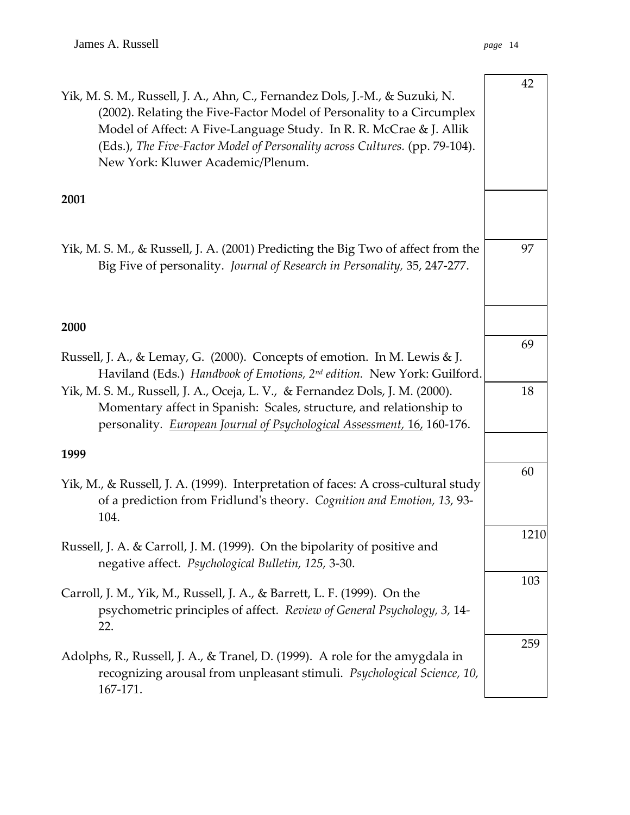| Yik, M. S. M., Russell, J. A., Ahn, C., Fernandez Dols, J.-M., & Suzuki, N.<br>(2002). Relating the Five-Factor Model of Personality to a Circumplex<br>Model of Affect: A Five-Language Study. In R. R. McCrae & J. Allik<br>(Eds.), The Five-Factor Model of Personality across Cultures. (pp. 79-104).<br>New York: Kluwer Academic/Plenum. | 42   |
|------------------------------------------------------------------------------------------------------------------------------------------------------------------------------------------------------------------------------------------------------------------------------------------------------------------------------------------------|------|
| 2001                                                                                                                                                                                                                                                                                                                                           |      |
| Yik, M. S. M., & Russell, J. A. (2001) Predicting the Big Two of affect from the<br>Big Five of personality. Journal of Research in Personality, 35, 247-277.                                                                                                                                                                                  | 97   |
| 2000                                                                                                                                                                                                                                                                                                                                           |      |
| Russell, J. A., & Lemay, G. (2000). Concepts of emotion. In M. Lewis & J.<br>Haviland (Eds.) Handbook of Emotions, 2 <sup>nd</sup> edition. New York: Guilford.                                                                                                                                                                                | 69   |
| Yik, M. S. M., Russell, J. A., Oceja, L. V., & Fernandez Dols, J. M. (2000).<br>Momentary affect in Spanish: Scales, structure, and relationship to<br>personality. European Journal of Psychological Assessment, 16, 160-176.                                                                                                                 | 18   |
| 1999                                                                                                                                                                                                                                                                                                                                           |      |
| Yik, M., & Russell, J. A. (1999). Interpretation of faces: A cross-cultural study<br>of a prediction from Fridlund's theory. Cognition and Emotion, 13, 93-<br>104.                                                                                                                                                                            | 60   |
| Russell, J. A. & Carroll, J. M. (1999). On the bipolarity of positive and<br>negative affect. Psychological Bulletin, 125, 3-30.                                                                                                                                                                                                               | 1210 |
| Carroll, J. M., Yik, M., Russell, J. A., & Barrett, L. F. (1999). On the<br>psychometric principles of affect. Review of General Psychology, 3, 14-<br>22.                                                                                                                                                                                     | 103  |
| Adolphs, R., Russell, J. A., & Tranel, D. (1999). A role for the amygdala in<br>recognizing arousal from unpleasant stimuli. Psychological Science, 10,<br>167-171.                                                                                                                                                                            | 259  |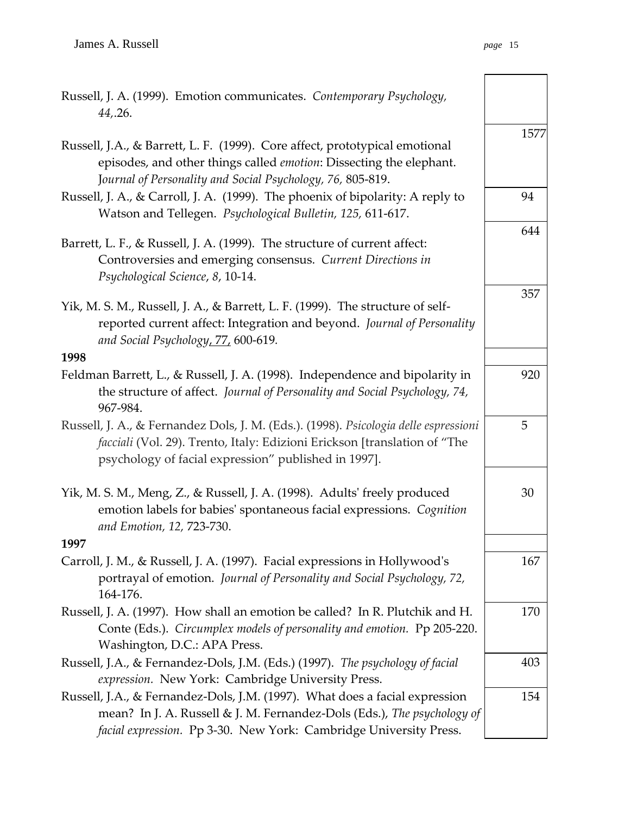$\overline{\phantom{0}}$ 

| Russell, J. A. (1999). Emotion communicates. Contemporary Psychology,<br>44, 26.                                                                                                                                            |      |
|-----------------------------------------------------------------------------------------------------------------------------------------------------------------------------------------------------------------------------|------|
| Russell, J.A., & Barrett, L. F. (1999). Core affect, prototypical emotional<br>episodes, and other things called emotion: Dissecting the elephant.<br>Journal of Personality and Social Psychology, 76, 805-819.            | 1577 |
| Russell, J. A., & Carroll, J. A. (1999). The phoenix of bipolarity: A reply to<br>Watson and Tellegen. Psychological Bulletin, 125, 611-617.                                                                                | 94   |
| Barrett, L. F., & Russell, J. A. (1999). The structure of current affect:<br>Controversies and emerging consensus. Current Directions in<br>Psychological Science, 8, 10-14.                                                | 644  |
| Yik, M. S. M., Russell, J. A., & Barrett, L. F. (1999). The structure of self-<br>reported current affect: Integration and beyond. Journal of Personality<br>and Social Psychology, 77, 600-619.                            | 357  |
| 1998                                                                                                                                                                                                                        |      |
| Feldman Barrett, L., & Russell, J. A. (1998). Independence and bipolarity in<br>the structure of affect. Journal of Personality and Social Psychology, 74,<br>967-984.                                                      | 920  |
| Russell, J. A., & Fernandez Dols, J. M. (Eds.). (1998). Psicologia delle espressioni<br>facciali (Vol. 29). Trento, Italy: Edizioni Erickson [translation of "The<br>psychology of facial expression" published in 1997].   | 5    |
| Yik, M. S. M., Meng, Z., & Russell, J. A. (1998). Adults' freely produced<br>emotion labels for babies' spontaneous facial expressions. Cognition<br>and Emotion, 12, 723-730.<br>1997                                      | 30   |
|                                                                                                                                                                                                                             |      |
| Carroll, J. M., & Russell, J. A. (1997). Facial expressions in Hollywood's<br>portrayal of emotion. Journal of Personality and Social Psychology, 72,<br>164-176.                                                           | 167  |
| Russell, J. A. (1997). How shall an emotion be called? In R. Plutchik and H.<br>Conte (Eds.). Circumplex models of personality and emotion. Pp 205-220.<br>Washington, D.C.: APA Press.                                     | 170  |
| Russell, J.A., & Fernandez-Dols, J.M. (Eds.) (1997). The psychology of facial<br>expression. New York: Cambridge University Press.                                                                                          | 403  |
| Russell, J.A., & Fernandez-Dols, J.M. (1997). What does a facial expression<br>mean? In J. A. Russell & J. M. Fernandez-Dols (Eds.), The psychology of<br>facial expression. Pp 3-30. New York: Cambridge University Press. | 154  |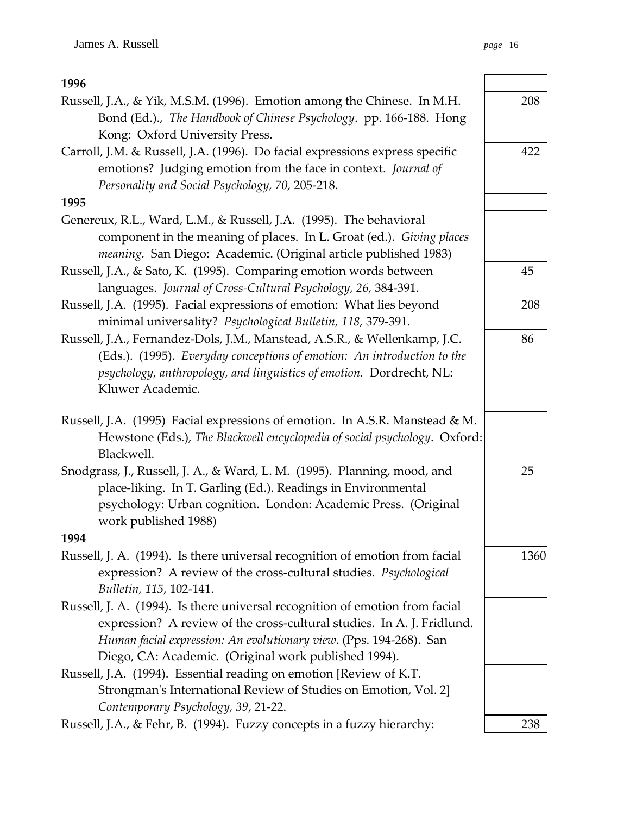| 1996                                                                                                                                                                                                                                             |      |
|--------------------------------------------------------------------------------------------------------------------------------------------------------------------------------------------------------------------------------------------------|------|
| Russell, J.A., & Yik, M.S.M. (1996). Emotion among the Chinese. In M.H.<br>Bond (Ed.)., The Handbook of Chinese Psychology. pp. 166-188. Hong                                                                                                    | 208  |
| Kong: Oxford University Press.                                                                                                                                                                                                                   |      |
| Carroll, J.M. & Russell, J.A. (1996). Do facial expressions express specific<br>emotions? Judging emotion from the face in context. Journal of                                                                                                   | 422  |
| Personality and Social Psychology, 70, 205-218.                                                                                                                                                                                                  |      |
| 1995                                                                                                                                                                                                                                             |      |
| Genereux, R.L., Ward, L.M., & Russell, J.A. (1995). The behavioral<br>component in the meaning of places. In L. Groat (ed.). Giving places<br>meaning. San Diego: Academic. (Original article published 1983)                                    |      |
| Russell, J.A., & Sato, K. (1995). Comparing emotion words between<br>languages. Journal of Cross-Cultural Psychology, 26, 384-391.                                                                                                               | 45   |
| Russell, J.A. (1995). Facial expressions of emotion: What lies beyond<br>minimal universality? Psychological Bulletin, 118, 379-391.                                                                                                             | 208  |
| Russell, J.A., Fernandez-Dols, J.M., Manstead, A.S.R., & Wellenkamp, J.C.<br>(Eds.). (1995). Everyday conceptions of emotion: An introduction to the<br>psychology, anthropology, and linguistics of emotion. Dordrecht, NL:<br>Kluwer Academic. | 86   |
| Russell, J.A. (1995) Facial expressions of emotion. In A.S.R. Manstead & M.<br>Hewstone (Eds.), The Blackwell encyclopedia of social psychology. Oxford:<br>Blackwell.                                                                           |      |
| Snodgrass, J., Russell, J. A., & Ward, L. M. (1995). Planning, mood, and<br>place-liking. In T. Garling (Ed.). Readings in Environmental<br>psychology: Urban cognition. London: Academic Press. (Original<br>work published 1988)               | 25   |
| 1994                                                                                                                                                                                                                                             |      |
| Russell, J. A. (1994). Is there universal recognition of emotion from facial<br>expression? A review of the cross-cultural studies. Psychological<br>Bulletin, 115, 102-141.                                                                     | 1360 |
| Russell, J. A. (1994). Is there universal recognition of emotion from facial<br>expression? A review of the cross-cultural studies. In A. J. Fridlund.<br>Human facial expression: An evolutionary view. (Pps. 194-268). San                     |      |
| Diego, CA: Academic. (Original work published 1994).                                                                                                                                                                                             |      |
| Russell, J.A. (1994). Essential reading on emotion [Review of K.T.<br>Strongman's International Review of Studies on Emotion, Vol. 2]                                                                                                            |      |
| Contemporary Psychology, 39, 21-22.                                                                                                                                                                                                              |      |
| Russell, J.A., & Fehr, B. (1994). Fuzzy concepts in a fuzzy hierarchy:                                                                                                                                                                           | 238  |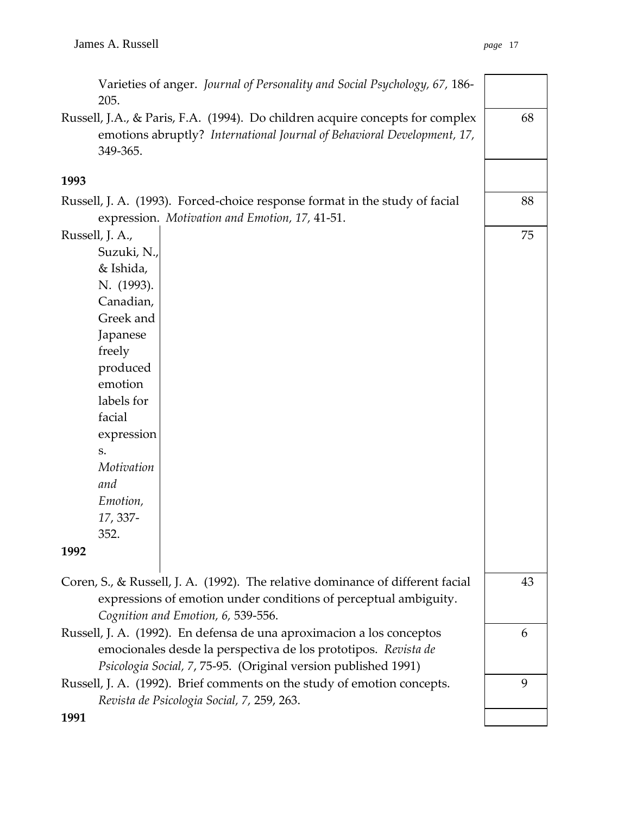| Varieties of anger. Journal of Personality and Social Psychology, 67, 186-<br>205.                                                                                   |    |
|----------------------------------------------------------------------------------------------------------------------------------------------------------------------|----|
| Russell, J.A., & Paris, F.A. (1994). Do children acquire concepts for complex<br>emotions abruptly? International Journal of Behavioral Development, 17,<br>349-365. | 68 |
| 1993                                                                                                                                                                 |    |
| Russell, J. A. (1993). Forced-choice response format in the study of facial                                                                                          | 88 |
| expression. Motivation and Emotion, 17, 41-51.                                                                                                                       |    |
| Russell, J. A.,                                                                                                                                                      | 75 |
| Suzuki, N.,                                                                                                                                                          |    |
| & Ishida,                                                                                                                                                            |    |
| N. (1993).                                                                                                                                                           |    |
| Canadian,                                                                                                                                                            |    |
| Greek and                                                                                                                                                            |    |
| Japanese                                                                                                                                                             |    |
| freely                                                                                                                                                               |    |
| produced                                                                                                                                                             |    |
| emotion                                                                                                                                                              |    |
| labels for                                                                                                                                                           |    |
| facial                                                                                                                                                               |    |
| expression                                                                                                                                                           |    |
| S.                                                                                                                                                                   |    |
| Motivation                                                                                                                                                           |    |
| and                                                                                                                                                                  |    |
| Emotion,                                                                                                                                                             |    |
| 17, 337-                                                                                                                                                             |    |
| 352                                                                                                                                                                  |    |
| 1992                                                                                                                                                                 |    |
| Coren, S., & Russell, J. A. (1992). The relative dominance of different facial                                                                                       | 43 |
| expressions of emotion under conditions of perceptual ambiguity.                                                                                                     |    |
| Cognition and Emotion, 6, 539-556.                                                                                                                                   |    |
| Russell, J. A. (1992). En defensa de una aproximacion a los conceptos                                                                                                | 6  |
| emocionales desde la perspectiva de los prototipos. Revista de                                                                                                       |    |
| Psicologia Social, 7, 75-95. (Original version published 1991)                                                                                                       |    |
| Russell, J. A. (1992). Brief comments on the study of emotion concepts.                                                                                              | 9  |
| Revista de Psicologia Social, 7, 259, 263.                                                                                                                           |    |
| 1991                                                                                                                                                                 |    |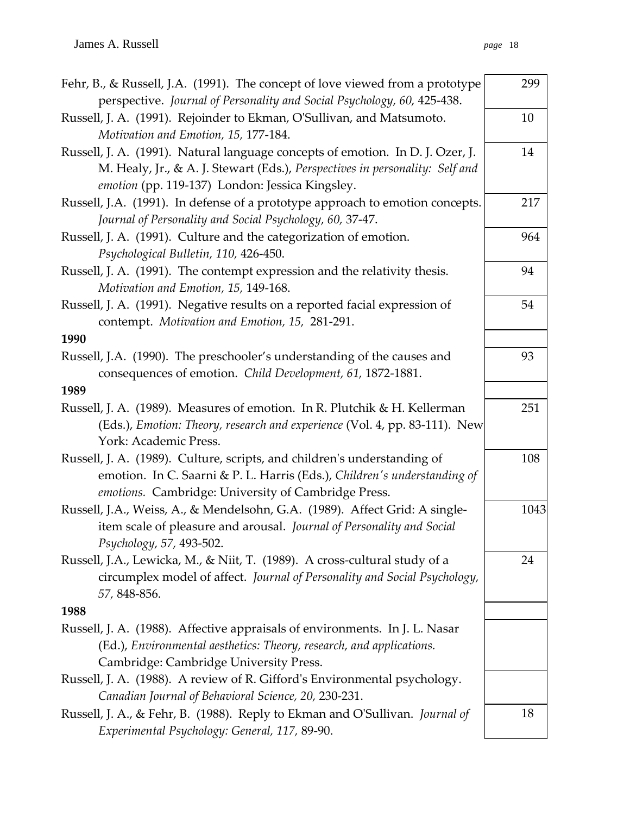| Fehr, B., & Russell, J.A. (1991). The concept of love viewed from a prototype<br>perspective. Journal of Personality and Social Psychology, 60, 425-438.                                                          | 299  |
|-------------------------------------------------------------------------------------------------------------------------------------------------------------------------------------------------------------------|------|
| Russell, J. A. (1991). Rejoinder to Ekman, O'Sullivan, and Matsumoto.<br>Motivation and Emotion, 15, 177-184.                                                                                                     | 10   |
| Russell, J. A. (1991). Natural language concepts of emotion. In D. J. Ozer, J.<br>M. Healy, Jr., & A. J. Stewart (Eds.), Perspectives in personality: Self and<br>emotion (pp. 119-137) London: Jessica Kingsley. | 14   |
| Russell, J.A. (1991). In defense of a prototype approach to emotion concepts.<br>Journal of Personality and Social Psychology, 60, 37-47.                                                                         | 217  |
| Russell, J. A. (1991). Culture and the categorization of emotion.<br>Psychological Bulletin, 110, 426-450.                                                                                                        | 964  |
| Russell, J. A. (1991). The contempt expression and the relativity thesis.<br>Motivation and Emotion, 15, 149-168.                                                                                                 | 94   |
| Russell, J. A. (1991). Negative results on a reported facial expression of<br>contempt. Motivation and Emotion, 15, 281-291.                                                                                      | 54   |
| 1990                                                                                                                                                                                                              |      |
| Russell, J.A. (1990). The preschooler's understanding of the causes and<br>consequences of emotion. Child Development, 61, 1872-1881.                                                                             | 93   |
| 1989                                                                                                                                                                                                              |      |
| Russell, J. A. (1989). Measures of emotion. In R. Plutchik & H. Kellerman<br>(Eds.), Emotion: Theory, research and experience (Vol. 4, pp. 83-111). New<br>York: Academic Press.                                  | 251  |
| Russell, J. A. (1989). Culture, scripts, and children's understanding of<br>emotion. In C. Saarni & P. L. Harris (Eds.), Children's understanding of<br>emotions. Cambridge: University of Cambridge Press.       | 108  |
| Russell, J.A., Weiss, A., & Mendelsohn, G.A. (1989). Affect Grid: A single-<br>item scale of pleasure and arousal. Journal of Personality and Social<br>Psychology, 57, 493-502.                                  | 1043 |
| Russell, J.A., Lewicka, M., & Niit, T. (1989). A cross-cultural study of a<br>circumplex model of affect. Journal of Personality and Social Psychology,<br>57, 848-856.                                           | 24   |
| 1988                                                                                                                                                                                                              |      |
| Russell, J. A. (1988). Affective appraisals of environments. In J. L. Nasar<br>(Ed.), Environmental aesthetics: Theory, research, and applications.<br>Cambridge: Cambridge University Press.                     |      |
| Russell, J. A. (1988). A review of R. Gifford's Environmental psychology.<br>Canadian Journal of Behavioral Science, 20, 230-231.                                                                                 |      |
| Russell, J. A., & Fehr, B. (1988). Reply to Ekman and O'Sullivan. Journal of<br>Experimental Psychology: General, 117, 89-90.                                                                                     | 18   |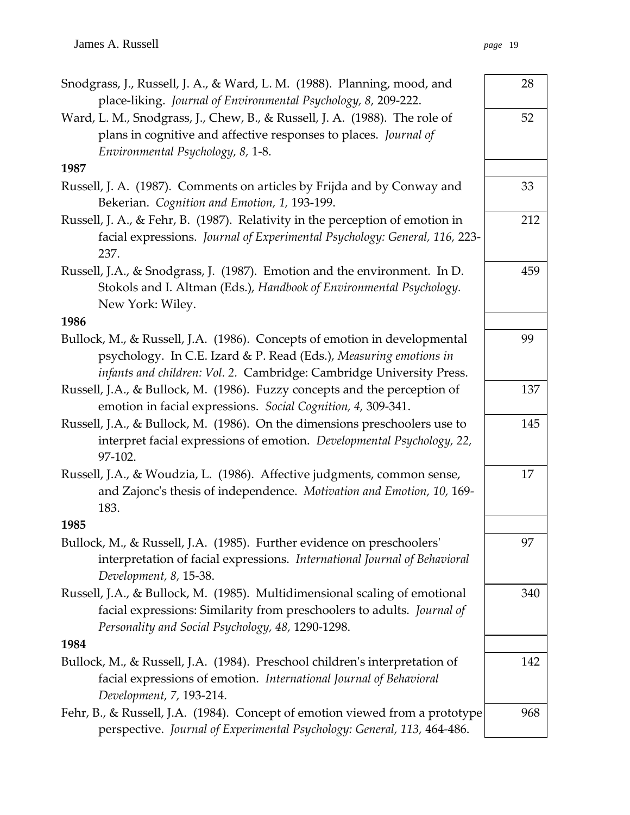| Snodgrass, J., Russell, J. A., & Ward, L. M. (1988). Planning, mood, and<br>place-liking. Journal of Environmental Psychology, 8, 209-222.                                                                             | 28  |
|------------------------------------------------------------------------------------------------------------------------------------------------------------------------------------------------------------------------|-----|
| Ward, L. M., Snodgrass, J., Chew, B., & Russell, J. A. (1988). The role of<br>plans in cognitive and affective responses to places. Journal of<br>Environmental Psychology, 8, 1-8.                                    | 52  |
| 1987                                                                                                                                                                                                                   |     |
| Russell, J. A. (1987). Comments on articles by Frijda and by Conway and<br>Bekerian. Cognition and Emotion, 1, 193-199.                                                                                                | 33  |
| Russell, J. A., & Fehr, B. (1987). Relativity in the perception of emotion in<br>facial expressions. Journal of Experimental Psychology: General, 116, 223-<br>237.                                                    | 212 |
| Russell, J.A., & Snodgrass, J. (1987). Emotion and the environment. In D.<br>Stokols and I. Altman (Eds.), Handbook of Environmental Psychology.<br>New York: Wiley.                                                   | 459 |
| 1986                                                                                                                                                                                                                   |     |
| Bullock, M., & Russell, J.A. (1986). Concepts of emotion in developmental<br>psychology. In C.E. Izard & P. Read (Eds.), Measuring emotions in<br>infants and children: Vol. 2. Cambridge: Cambridge University Press. | 99  |
| Russell, J.A., & Bullock, M. (1986). Fuzzy concepts and the perception of<br>emotion in facial expressions. Social Cognition, 4, 309-341.                                                                              | 137 |
| Russell, J.A., & Bullock, M. (1986). On the dimensions preschoolers use to<br>interpret facial expressions of emotion. Developmental Psychology, 22,<br>97-102.                                                        | 145 |
| Russell, J.A., & Woudzia, L. (1986). Affective judgments, common sense,<br>and Zajonc's thesis of independence. Motivation and Emotion, 10, 169-<br>183.                                                               | 17  |
| 1985                                                                                                                                                                                                                   |     |
| Bullock, M., & Russell, J.A. (1985). Further evidence on preschoolers'<br>interpretation of facial expressions. International Journal of Behavioral<br>Development, 8, 15-38.                                          | 97  |
| Russell, J.A., & Bullock, M. (1985). Multidimensional scaling of emotional<br>facial expressions: Similarity from preschoolers to adults. Journal of<br>Personality and Social Psychology, 48, 1290-1298.              | 340 |
| 1984                                                                                                                                                                                                                   |     |
| Bullock, M., & Russell, J.A. (1984). Preschool children's interpretation of<br>facial expressions of emotion. International Journal of Behavioral<br>Development, 7, 193-214.                                          | 142 |
| Fehr, B., & Russell, J.A. (1984). Concept of emotion viewed from a prototype<br>perspective. Journal of Experimental Psychology: General, 113, 464-486.                                                                | 968 |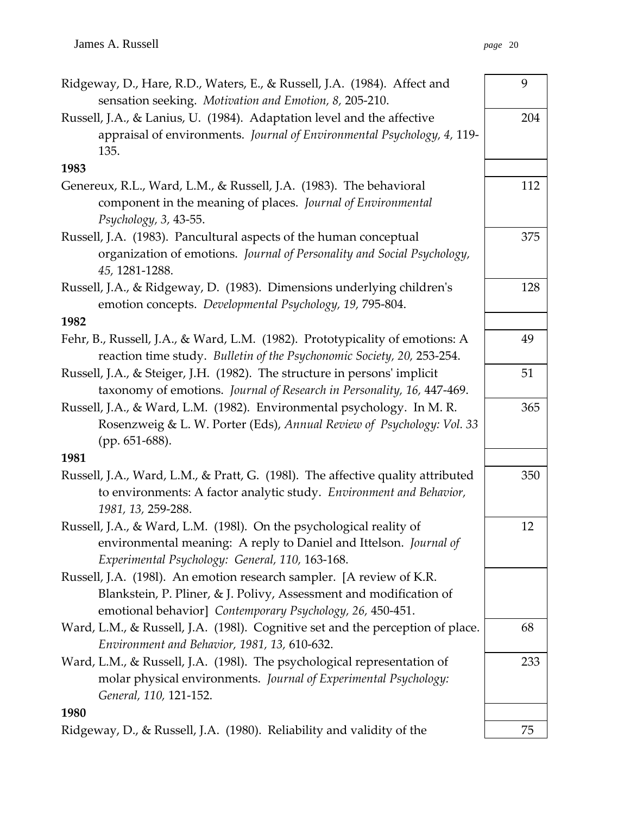| Ridgeway, D., Hare, R.D., Waters, E., & Russell, J.A. (1984). Affect and<br>sensation seeking. Motivation and Emotion, 8, 205-210.                                                                      | 9   |
|---------------------------------------------------------------------------------------------------------------------------------------------------------------------------------------------------------|-----|
| Russell, J.A., & Lanius, U. (1984). Adaptation level and the affective<br>appraisal of environments. Journal of Environmental Psychology, 4, 119-<br>135.                                               | 204 |
| 1983                                                                                                                                                                                                    |     |
| Genereux, R.L., Ward, L.M., & Russell, J.A. (1983). The behavioral<br>component in the meaning of places. Journal of Environmental<br>Psychology, 3, 43-55.                                             | 112 |
| Russell, J.A. (1983). Pancultural aspects of the human conceptual<br>organization of emotions. Journal of Personality and Social Psychology,<br>45, 1281-1288.                                          | 375 |
| Russell, J.A., & Ridgeway, D. (1983). Dimensions underlying children's<br>emotion concepts. Developmental Psychology, 19, 795-804.<br>1982                                                              | 128 |
| Fehr, B., Russell, J.A., & Ward, L.M. (1982). Prototypicality of emotions: A<br>reaction time study. Bulletin of the Psychonomic Society, 20, 253-254.                                                  | 49  |
| Russell, J.A., & Steiger, J.H. (1982). The structure in persons' implicit<br>taxonomy of emotions. Journal of Research in Personality, 16, 447-469.                                                     | 51  |
| Russell, J.A., & Ward, L.M. (1982). Environmental psychology. In M.R.<br>Rosenzweig & L. W. Porter (Eds), Annual Review of Psychology: Vol. 33<br>(pp. 651-688).                                        | 365 |
| 1981                                                                                                                                                                                                    |     |
| Russell, J.A., Ward, L.M., & Pratt, G. (1981). The affective quality attributed<br>to environments: A factor analytic study. Environment and Behavior,<br>1981, 13, 259-288.                            | 350 |
| Russell, J.A., & Ward, L.M. (1981). On the psychological reality of<br>environmental meaning: A reply to Daniel and Ittelson. Journal of<br>Experimental Psychology: General, 110, 163-168.             | 12  |
| Russell, J.A. (1981). An emotion research sampler. [A review of K.R.<br>Blankstein, P. Pliner, & J. Polivy, Assessment and modification of<br>emotional behavior] Contemporary Psychology, 26, 450-451. |     |
| Ward, L.M., & Russell, J.A. (1981). Cognitive set and the perception of place.<br>Environment and Behavior, 1981, 13, 610-632.                                                                          | 68  |
| Ward, L.M., & Russell, J.A. (1981). The psychological representation of<br>molar physical environments. Journal of Experimental Psychology:<br>General, 110, 121-152.                                   | 233 |
| 1980                                                                                                                                                                                                    |     |
| Ridgeway, D., & Russell, J.A. (1980). Reliability and validity of the                                                                                                                                   | 75  |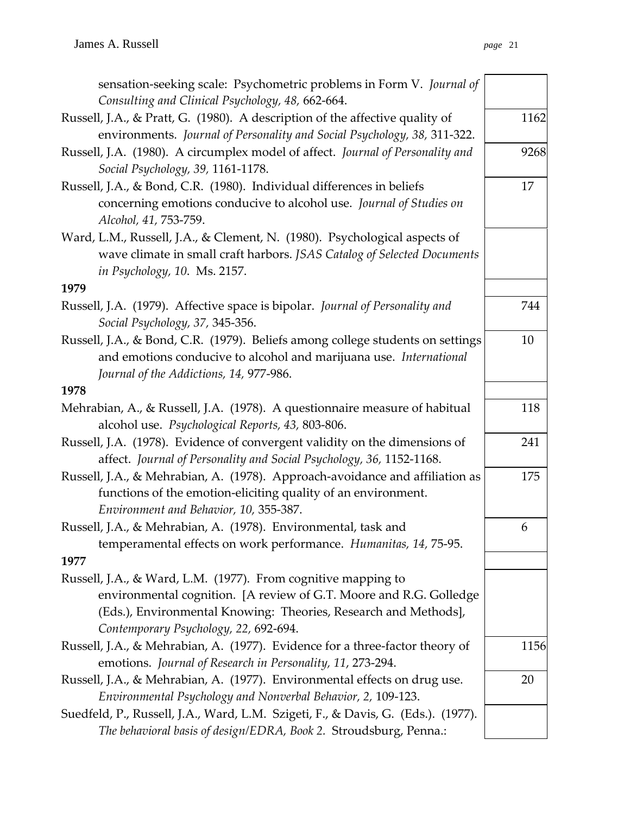| sensation-seeking scale: Psychometric problems in Form V. Journal of                                                                                                                                                                            |      |
|-------------------------------------------------------------------------------------------------------------------------------------------------------------------------------------------------------------------------------------------------|------|
| Consulting and Clinical Psychology, 48, 662-664.                                                                                                                                                                                                |      |
| Russell, J.A., & Pratt, G. (1980). A description of the affective quality of<br>environments. Journal of Personality and Social Psychology, 38, 311-322.                                                                                        | 1162 |
| Russell, J.A. (1980). A circumplex model of affect. Journal of Personality and<br>Social Psychology, 39, 1161-1178.                                                                                                                             | 9268 |
| Russell, J.A., & Bond, C.R. (1980). Individual differences in beliefs<br>concerning emotions conducive to alcohol use. Journal of Studies on<br>Alcohol, 41, 753-759.                                                                           | 17   |
| Ward, L.M., Russell, J.A., & Clement, N. (1980). Psychological aspects of<br>wave climate in small craft harbors. JSAS Catalog of Selected Documents<br>in Psychology, 10. Ms. 2157.                                                            |      |
| 1979                                                                                                                                                                                                                                            |      |
| Russell, J.A. (1979). Affective space is bipolar. Journal of Personality and<br>Social Psychology, 37, 345-356.                                                                                                                                 | 744  |
| Russell, J.A., & Bond, C.R. (1979). Beliefs among college students on settings<br>and emotions conducive to alcohol and marijuana use. International<br>Journal of the Addictions, 14, 977-986.                                                 | 10   |
| 1978                                                                                                                                                                                                                                            |      |
| Mehrabian, A., & Russell, J.A. (1978). A questionnaire measure of habitual<br>alcohol use. Psychological Reports, 43, 803-806.                                                                                                                  | 118  |
| Russell, J.A. (1978). Evidence of convergent validity on the dimensions of<br>affect. Journal of Personality and Social Psychology, 36, 1152-1168.                                                                                              | 241  |
| Russell, J.A., & Mehrabian, A. (1978). Approach-avoidance and affiliation as<br>functions of the emotion-eliciting quality of an environment.<br>Environment and Behavior, 10, 355-387.                                                         | 175  |
| Russell, J.A., & Mehrabian, A. (1978). Environmental, task and<br>temperamental effects on work performance. Humanitas, 14, 75-95.                                                                                                              | 6    |
| 1977                                                                                                                                                                                                                                            |      |
| Russell, J.A., & Ward, L.M. (1977). From cognitive mapping to<br>environmental cognition. [A review of G.T. Moore and R.G. Golledge<br>(Eds.), Environmental Knowing: Theories, Research and Methods],<br>Contemporary Psychology, 22, 692-694. |      |
| Russell, J.A., & Mehrabian, A. (1977). Evidence for a three-factor theory of<br>emotions. Journal of Research in Personality, 11, 273-294.                                                                                                      | 1156 |
| Russell, J.A., & Mehrabian, A. (1977). Environmental effects on drug use.<br>Environmental Psychology and Nonverbal Behavior, 2, 109-123.                                                                                                       | 20   |
| Suedfeld, P., Russell, J.A., Ward, L.M. Szigeti, F., & Davis, G. (Eds.). (1977).<br>The behavioral basis of design/EDRA, Book 2. Stroudsburg, Penna.:                                                                                           |      |